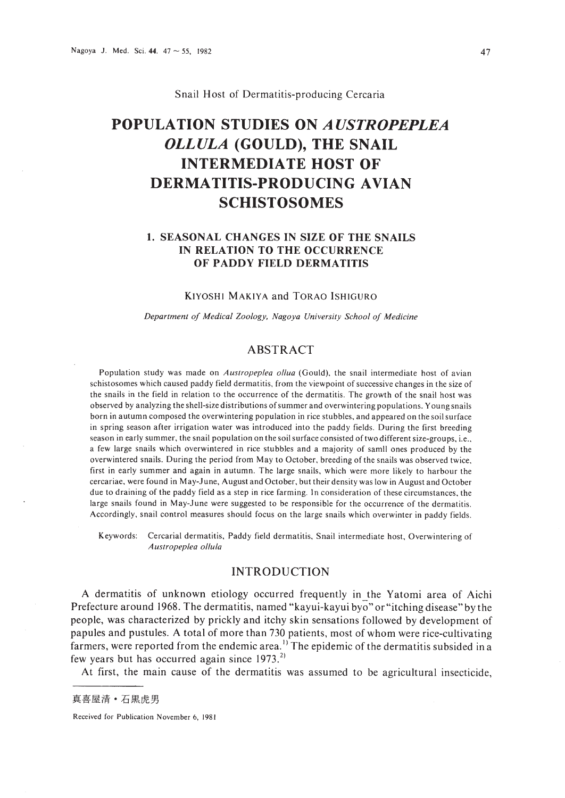Snail Host of Dermatitis-producing Cercaria

# **POPULATION STUDIES ON** *AUSTROPEPLEA OLLULA* **(GOULD), THE SNAIL INTERMEDIATE HOST OF DERMATITIS-PRODUCING AVIAN SCHISTOSOMES**

# **1. SEASONAL CHANGES IN SIZE OF THE SNAILS IN RELATION TO THE OCCURRENCE OF PADDY FIELD DERMATITIS**

# KIYOSHI MAKIYA and TORAO ISHIGURO

*Depar/ment of Medical Zoology. Nagoya University School of Medicine*

# ABSTRACT

Population study was made on *Austropeplea ollua* (Gould), the snail intermediate host of avian schistosomes which caused paddy field dermatitis, from the viewpoint of successive changes in the size of the snails in the field in relation to the occurrence of the dermatitis. The growth of the snail host was observed by analyzing the shell-size distributions ofsummer and overwintering populations. Young snails born in autumn composed the overwintering population in rice stubbles, and appeared on the soil surface in spring season after irrigation water was introduced into the paddy fields. During the first breeding season in early summer, the snail population on the soil surface consisted oftwo different size-groups, i.e.. a few large snails which overwintered in rice stubbles and a majority of samII ones produced by the overwintered snails. During the period from May to October, breeding of the snails was observed twice, first in early summer and again in autumn. The large snails, which were more likely to harbour the cercariae, were found in May-June, August and October, but their density was low in August and October due to draining of the paddy field as a step in rice farming. In consideration of these circumstances. the large snails found in May-June were suggested to be responsible for the occurrence of the dermatitis. Accordingly, snail control measures should focus on the large snails which overwinter in paddy fields.

Keywords: Cercarial dermatitis, Paddy field dermatitis, Snail intermediate host, Overwintering of *Aus/ropepfea ol/ufo*

# INTRODUCTION

A dermatitis of unknown etiology occurred frequently in the Yatomi area of Aichi Prefecture around 1968. The dermatitis, named "kayui-kayui byo" or"itching disease" by the people, was characterized by prickly and itchy skin sensations followed by development of papules and pustules. A total of more than 730 patients, most of whom were rice-cultivating farmers, were reported from the endemic area.<sup>1</sup> The epidemic of the dermatitis subsided in a few years but has occurred again since  $1973$ <sup>2)</sup>

At first, the main cause of the dermatitis was assumed to be agricultural insecticide,

Received for Publication November 6, 1981

真喜屋清·石黒虎男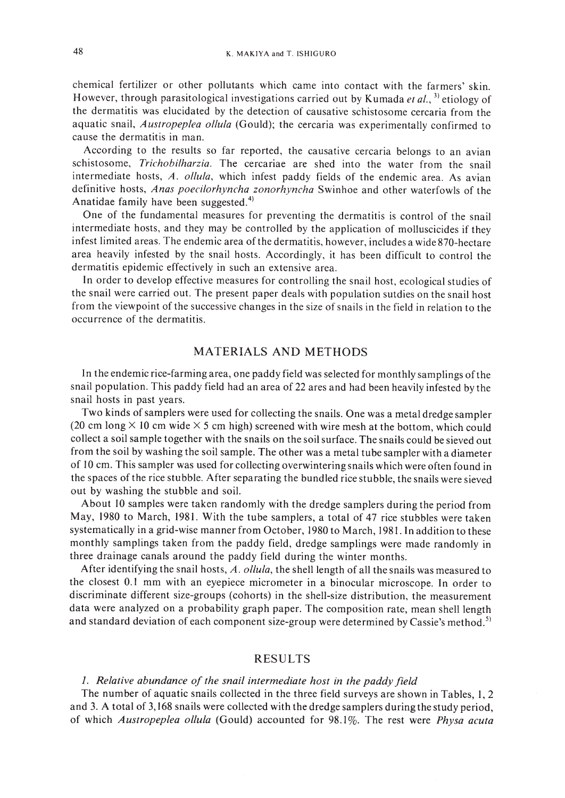chemical fertilizer or other pollutants which came into contact with the farmers' skin. However, through parasitological investigations carried out by Kumada *et al.,* 3) etiology of the dermatitis was elucidated by the detection of causative schistosome cercaria from the aquatic snail, *Austropeplea ollula* (Gould); the cercaria was experimentally confirmed to cause the dermatitis in man.

According to the results so far reported, the causative cercaria belongs to an avian schistosome, *Trichobilharzia.* The cercariae are shed into the water from the snail intermediate hosts, *A. ol/ula,* which infest paddy fields of the endemic area. As avian definitive hosts, *Anas poecilorhyncha zanarhyncha* Swinhoe and other waterfowls of the Anatidae family have been suggested.<sup>4)</sup>

One of the fundamental measures for preventing the dermatitis is control of the snail intermediate hosts, and they may be controlled by the application of molluscicides if they infest limited areas. The endemic area of the dermatitis, however, includes a wide 870-hectare area heavily infested by the snail hosts. Accordingly, it has been difficult to control the dermatitis epidemic effectively in such an extensive area.

In order to develop effective measures for controlling the snail host, ecological studies of the snail were carried out. The present paper deals with population sutdies on the snail host from the viewpoint of the successive changes in the size of snails in the field in relation to the occurrence of the dermatitis.

# MATERIALS AND METHODS

In the endemic rice-farming area, one paddy field was selected for monthly samplings ofthe snail population. This paddy field had an area of 22 ares and had been heavily infested by the snail hosts in past years.

Two kinds of samplers were used for collecting the snails. One was a metal dredge sampler (20 cm long  $\times$  10 cm wide  $\times$  5 cm high) screened with wire mesh at the bottom, which could collect a soil sample together with the snails on the soil surface. The snails could be sieved out from the soil by washing the soil sample. The other was a metal tube sampler with a diameter of 10 cm. This sampler was used for collecting overwintering snails which were often found in the spaces of the rice stubble. After separating the bundled rice stubble, the snails were sieved out by washing the stubble and soil.

About 10 samples were taken randomly with the dredge samplers during the period from May, 1980 to March, 1981. With the tube samplers, a total of 47 rice stubbles were taken systematically in a grid-wise manner from October, 1980 to March, 1981. **In** addition to these monthly samplings taken from the paddy field, dredge samplings were made randomly in three drainage canals around the paddy field during the winter months.

After identifying the snail hosts, A. ollula, the shell length of all the snails was measured to the closest 0.1 mm with an eyepiece micrometer in a binocular microscope. In order to discriminate different size-groups (cohorts) in the shell-size distribution, the measurement data were analyzed on a probability graph paper. The composition rate, mean shell length and standard deviation of each component size-group were determined by Cassie's method.<sup>5)</sup>

#### RESULTS

#### *1. Relative abundance of the snail intermediate hast in the paddy field*

The number of aquatic snails collected in the three field surveys are shown in Tables, I, 2 and 3. A total of 3,168 snails were collected with the dredge samplers during the study period, of which *Austropeplea al/ula* (Gould) accounted for 98.1 %. The rest were *Physa acuta*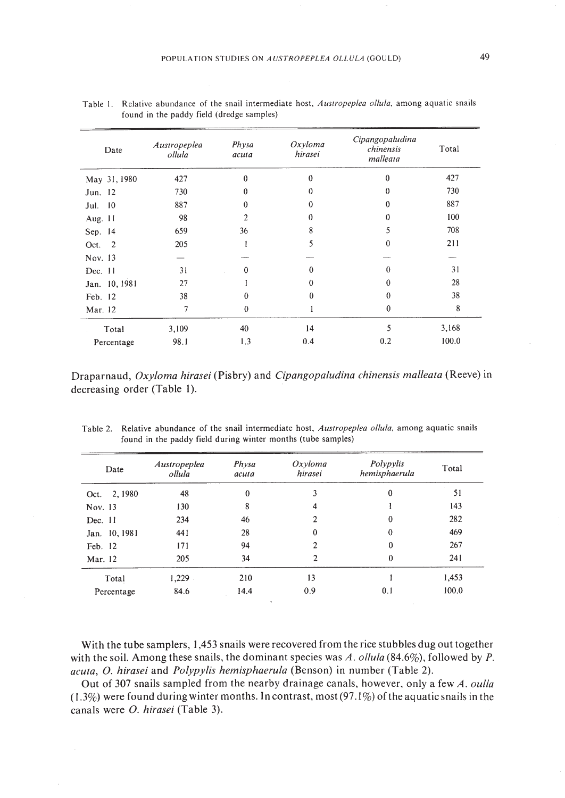| Date          | Austropeplea<br>ollula | Physa<br>acuta | Oxyloma<br>hirasei | Cipangopaludina<br>chinensis<br>malleata | Total |
|---------------|------------------------|----------------|--------------------|------------------------------------------|-------|
| May 31, 1980  | 427                    | $\mathbf{0}$   | $\bf{0}$           | $\theta$                                 | 427   |
| Jun. 12       | 730                    | $\bf{0}$       | $\theta$           | $\theta$                                 | 730   |
| 10<br>Jul.    | 887                    | $\theta$       | $\theta$           | $\theta$                                 | 887   |
| Aug. 11       | 98                     | $\overline{c}$ | $\theta$           | 0                                        | 100   |
| Sep. 14       | 659                    | 36             | 8                  | 5                                        | 708   |
| Oct. 2        | 205                    |                | 5                  | 0                                        | 211   |
| Nov. 13       |                        |                |                    |                                          |       |
| Dec. $11$     | 31                     | $\theta$       | $\mathbf{0}$       | $\Omega$                                 | 31    |
| Jan. 10, 1981 | 27                     |                | $\Omega$           | 0                                        | 28    |
| Feb. 12       | 38                     | 0              | $\theta$           | 0                                        | 38    |
| Mar. 12       | $\tau$                 | $\bf{0}$       |                    | $\bf{0}$                                 | 8     |
| Total         | 3,109                  | 40             | 14                 | 5                                        | 3,168 |
| Percentage    | 98.1                   | 1.3            | 0.4                | 0.2                                      | 100.0 |

Table I. Relative abundance of the snail intermediate host, *AuSlropepfea ol/ufa,* among aquatic snails found in the paddy field (dredge samples)

Draparnaud, *Oxyloma hirasei* (Pisbry) and *Cipangopaludina chinensis malleata* (Reeve) in decreasing order (Table I).

| Date          | Austropeplea<br>ollula | Physa<br>acuta | $Ox$ yloma<br>hirasei | Polypylis<br>hemisphaerula | Total |
|---------------|------------------------|----------------|-----------------------|----------------------------|-------|
| Oct. 2, 1980  | 48                     | $\theta$       | 3                     | $\Omega$                   | 51    |
| Nov. 13       | 130                    | 8              | 4                     |                            | 143   |
| Dec. $11$     | 234                    | 46             | 2                     | $\mathbf{0}$               | 282   |
| Jan. 10, 1981 | 441                    | 28             | $\bf{0}$              | $\theta$                   | 469   |
| Feb. 12       | 171                    | 94             | $\overline{2}$        | $\theta$                   | 267   |
| Mar. 12       | 205                    | 34             | 2                     | $\theta$                   | 241   |
| Total         | 1,229                  | 210            | 13                    |                            | 1,453 |
| Percentage    | 84.6                   | 14.4           | 0.9                   | 0.1                        | 100.0 |

Table 2. Relative abundance of the snail intermediate host, *Auslropeplea ol/ufa,* among aquatic snails found in the paddy field during winter months (tube samples)

With the tube samplers, 1,453 snails were recovered from the rice stubbles dug out together with the soil. Among these snails, the dominant species was *A. ollula* (84.6%), followed by *P*. *acuta,* O. *hirasei* and *Polypylis hemisphaerula* (Benson) in number (Table 2).

Out of 307 snails sampled from the nearby drainage canals, however, only a few *A. oul/a*  $(1.3\%)$  were found during winter months. In contrast, most  $(97.1\%)$  of the aquatic snails in the canals were O. *hirasei* (Table 3).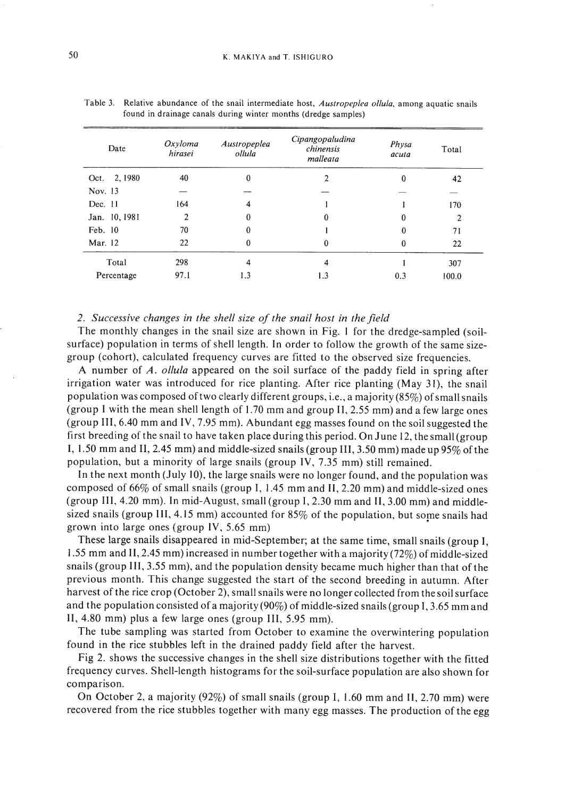| Date          | Oxyloma<br>hirasei | Austropeplea<br>ollula | Cipangopaludina<br>chinensis<br>malleata | Physa<br>acuta | Total |
|---------------|--------------------|------------------------|------------------------------------------|----------------|-------|
| Oct. 2, 1980  | 40                 | 0                      | $\mathfrak{D}$                           | $\Omega$       | 42    |
| Nov. 13       |                    |                        |                                          |                |       |
| Dec. $11$     | 164                | $\overline{\bf{4}}$    |                                          |                | 170   |
| Jan. 10, 1981 | $\overline{2}$     | $\bf{0}$               | $\theta$                                 | 0              | 2     |
| Feb. 10       | 70                 | 0                      |                                          | 0              | 71    |
| Mar. 12       | 22                 | $\bf{0}$               | $\theta$                                 | $\bf{0}$       | 22    |
| Total         | 298                | 4                      | 4                                        |                | 307   |
| Percentage    | 97.1               | 1.3                    | 1.3                                      | 0.3            | 100.0 |

| Table 3. Relative abundance of the snail intermediate host, Austropeplea ollula, among aquatic snails |
|-------------------------------------------------------------------------------------------------------|
| found in drainage canals during winter months (dredge samples)                                        |

## *2. Successive changes in the shell size of the snail host in the field*

The monthly changes in the snail size are shown in Fig. I for the dredge-sampled (soilsurface) population in terms of shell length. In order to follow the growth of the same sizegroup (cohort), calculated frequency curves are fitted to the observed size frequencies.

A number of *A. ollula* appeared on the soil surface of the paddy field in spring after irrigation water was introduced for rice planting. After rice planting (May 31), the snail population was composed oftwo clearly different groups, i.e., a majority (85%) ofsmall snails (group I with the mean shell length of 1.70 mm and group **II,** 2.55 mm) and a few large ones (group 11I,6.40 mm and IV, 7.95 mm). Abundant egg masses found on the soil suggested the first breeding of the snail to have taken place during this period. On June 12, the small (group I, 1.50 mm and II, 2.45 mm) and middle-sized snails (group III, 3.50 mm) made up 95% ofthe population, but a minority of large snails (group IV, 7.35 mm) still remained.

In the next month (July 10), the large snails were no longer found, and the population was composed of  $66\%$  of small snails (group I, 1.45 mm and II, 2.20 mm) and middle-sized ones (group 11I,4.20 mm). In mid-August, small (group 1,2.30 mm and 11,3.00 mm) and middlesized snails (group III, 4.15 mm) accounted for  $85\%$  of the population, but some snails had grown into large ones (group IV, 5.65 mm)

These large snails disappeared in mid-September; at the same time, small snails (group I, 1.55 mm and I1,2.45 mm) increased in number together with a majority (72%) of middle-sized snails (group III, 3.55 mm), and the population density became much higher than that of the previous month. This change suggested the start of the second breeding in autumn. After harvest of the rice crop (October 2), small snails were no longer collected from the soil surface and the population consisted of a majority (90%) of middle-sized snails (group I, 3.65 mm and II, 4.80 mm) plus a few large ones (group III, 5.95 mm).

The tube sampling was started from October to examine the overwintering population found in the rice stubbles left in the drained paddy field after the harvest.

Fig 2. shows the successive changes in the shell size distributions together with the fitted frequency curves. Shell-length histograms for the soil-surface population are also shown for comparison.

On October 2, a majority (92%) of small snails (group I, 1.60 mm and II, 2.70 mm) were recovered from the rice stubbles together with many egg masses. The production of the egg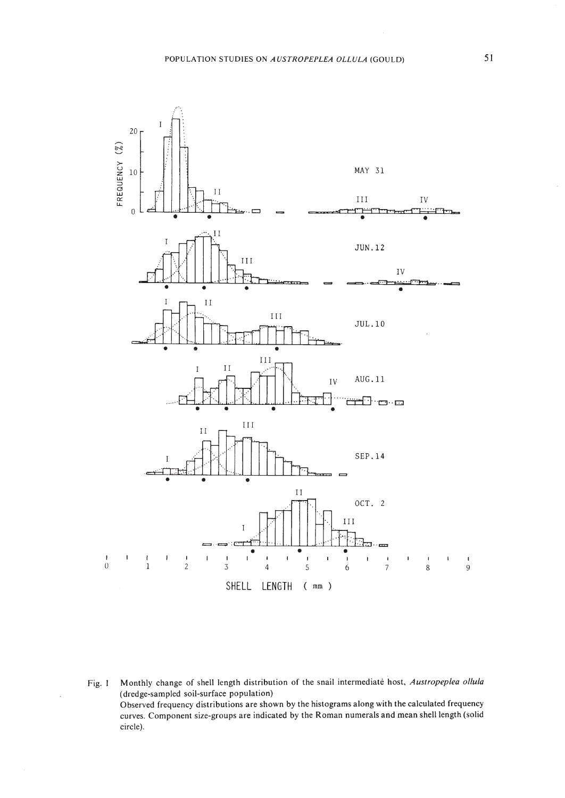

Monthly change of shell length distribution of the snail intermediate host, Austropeplea ollula Fig. 1 (dredge-sampled soil-surface population) Observed frequency distributions are shown by the histograms along with the calculated frequency curves. Component size-groups are indicated by the Roman numerals and mean shell length (solid circle).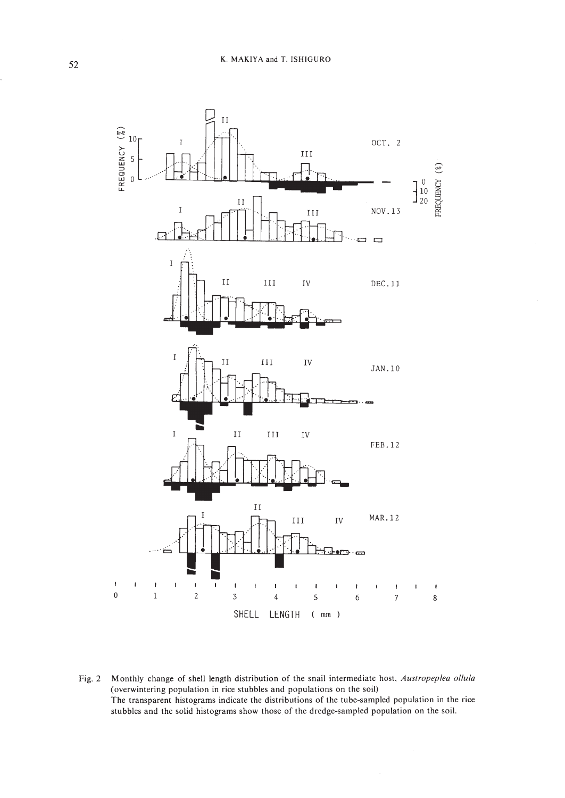

Fig. 2 Monthly change of shell length distribution of the snail intermediate host, Austropeplea ollula (overwintering population in rice stubbles and populations on the soil) The transparent histograms indicate the distributions of the tube-sampled population in the rice stubbles and the solid histograms show those of the dredge-sampled population on the soil.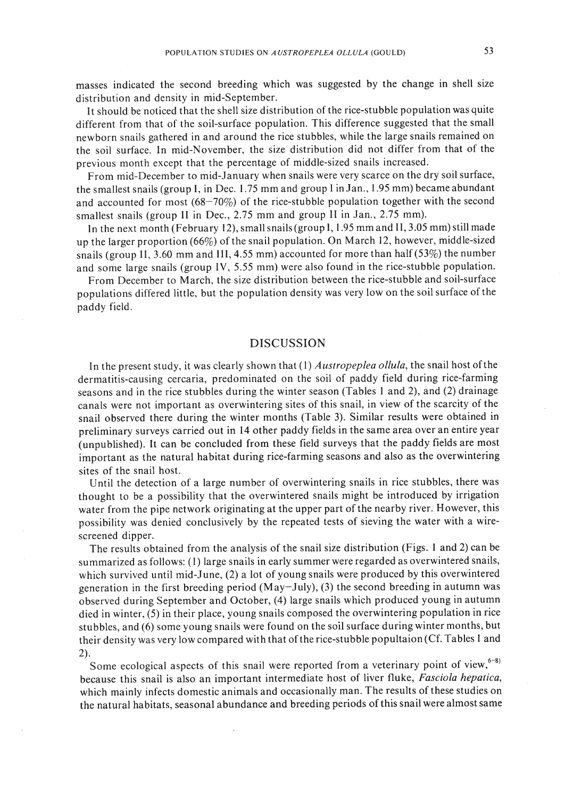masses indicated the second breeding which was suggested by the change in shell size distribution and density in mid-September.

It should be noticed that the shell size distribution of the rice-stubble population was quite different from that of the soil-surface population. This difference suggested that the small newborn snails gathered in and around the rice stubbles, while the large snails remained on the soil surface. In mid-November, the size distribution did not differ from that of the previous month except that the percentage of middle-sized snails increased.

From mid-December to mid-January when snails were very scarce on the dry soil surface, the smallest snails (group I, in Dec. 1.75 mm and group I in Jan., 1.95 mm) became abundant and accounted for most (68-70%) of the rice-stubble population together with the second smallest snails (group II in Dec., 2.75 mm and group II in Jan., 2.75 mm).

In the next month (February 12), small snails(group **I,** 1.95 mm and I1,3.05 mm) still made up the larger proportion (66%) of the snail population. On March 12, however, middle-sized snails (group II, 3.60 mm and III, 4.55 mm) accounted for more than half (53%) the number and some large snails (group IV, 5.55 mm) were also found in the rice-stubble population.

From December to March, the size distribution between the rice-stubble and soil-surface populations differed little, but the population density was very low on the soil surface of the paddy field.

#### DISCUSSION

In the present study, it was clearly shown that (1) *Austropeplea ollula,* the snail host ofthe dermatitis-causing cercaria, predominated on the soil of paddy field during rice-farming seasons and in the rice stubbles during the winter season (Tables I and 2), and (2) drainage canals were not important as overwintering sites of this snail, in view of the scarcity of the snail observed there during the winter months (Table 3). Similar results were obtained in preliminary surveys carried out in 14 other paddy fields in the same area over an entire year (unpublished). It can be concluded from these field surveys that the paddy fields are most important as the natural habitat during rice-farming seasons and also as the overwintering sites of the snail host.

Until the detection of a large number of overwintering snails in rice stubbles, there was thought to be a possibility that the overwintered snails might be introduced by irrigation water from the pipe network originating at the upper part of the nearby river. However, this possibility was denied conclusively by the repeated tests of sieving the water with a wirescreened dipper.

The results obtained from the analysis of the snail size distribution (Figs. I and 2) can be summarized as follows: (I) large snails in early summer were regarded as overwintered snails, which survived until mid-June, (2) a lot of young snails were produced by this overwintered generation in the first breeding period (May-July), (3) the second breeding in autumn was observed during September and October, (4) large snails which produced young in autumn died in winter, (5) in their place, young snails composed the overwintering population in rice stubbles, and (6) some young snails were found on the soil surface during winter months, but their density was very low compared with that of the rice-stubble popultaion (Cf. Tables 1 and 2).

Some ecological aspects of this snail were reported from a veterinary point of view,  $6-8$ ) because this snail is also an important intermediate host of liver fluke, *Fasciola hepatica,* which mainly infects domestic animals and occasionally man. The results of these studies on the natural habitats, seasonal abundance and breeding periods ofthis snail were almost same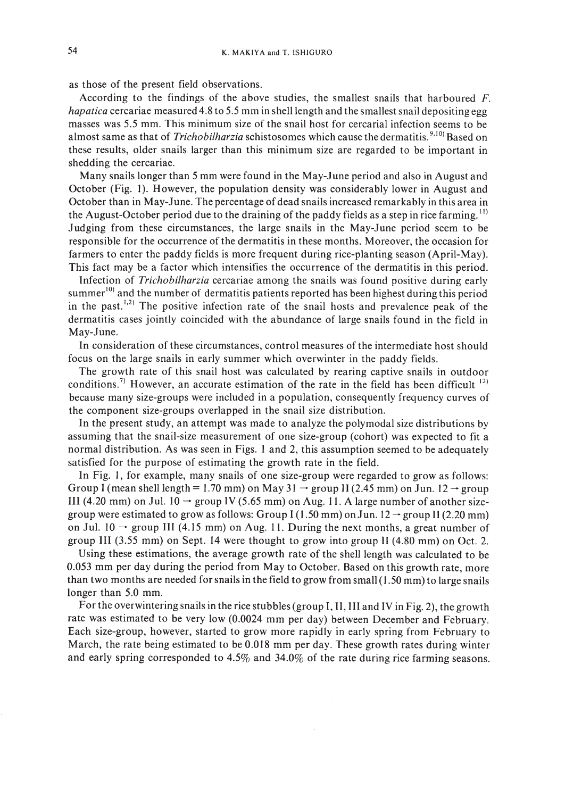as those of the present field observations.

According to the findings of the above studies, the smallest snails that harboured F. *hapatica* cercariae measured 4.8 to 5.5 mm in shell length and the smallest snail depositing egg masses was 5.5 mm. This minimum size of the snail host for cercarial infection seems to be almost same as that of *Trichobilharzia* schistosomes which cause the dermatitis. 9,10) Based on these results, older snails larger than this minimum size are regarded to be important in shedding the cercariae.

Many snails longer than 5 mm were found in the May-June period and also in August and October (Fig. I). However, the population density was considerably lower in August and October than in May-June. The percentage of dead snails increased remarkably in this area in the August-October period due to the draining of the paddy fields as a step in rice farming.'!) Judging from these circumstances, the large snails in the May-June period seem to be responsible for the occurrence of the dermatitis in these months. Moreover, the occasion for farmers to enter the paddy fields is more frequent during rice-planting season (April-May). This fact may be a factor which intensifies the occurrence of the dermatitis in this period.

Infection of *Trichobilharzia* cercariae among the snails was found positive during early summer<sup>10)</sup> and the number of dermatitis patients reported has been highest during this period in the past.<sup> $1,2)$ </sup> The positive infection rate of the snail hosts and prevalence peak of the dermatitis cases jointly coincided with the abundance of large snails found in the field in May-June.

In consideration of these circumstances, control measures of the intermediate host should focus on the large snails in early summer which overwinter in the paddy fields.

The growth rate of this snail host was calculated by rearing captive snails in outdoor conditions.<sup>7)</sup> However, an accurate estimation of the rate in the field has been difficult  $^{12}$ because many size-groups were included in a population, consequently frequency curves of the component size-groups overlapped in the snail size distribution.

In the present study, an attempt was made to analyze the polymodal size distributions by assuming that the snail-size measurement of one size-group (cohort) was expected to fit a normal distribution. As was seen in Figs. I and 2, this assumption seemed to be adequately satisfied for the purpose of estimating the growth rate in the field.

In Fig. I, for example, many snails of one size-group were regarded to grow as follows: Group I (mean shell length = 1.70 mm) on May 31  $\rightarrow$  group II (2.45 mm) on Jun. 12  $\rightarrow$  group III (4.20 mm) on Jul.  $10 \rightarrow$  group IV (5.65 mm) on Aug. 11. A large number of another sizegroup were estimated to grow as follows: Group I (1.50 mm) on Jun.  $12 \rightarrow$  group II (2.20 mm) on Jul. 10  $\rightarrow$  group III (4.15 mm) on Aug. 11. During the next months, a great number of group III (3.55 mm) on Sept. 14 were thought to grow into group II (4.80 mm) on Oct. 2.

Using these estimations, the average growth rate of the shell length was calculated to be 0.053 mm per day during the period from May to October. Based on this growth rate, more than two months are needed for snails in the field to grow from small  $(1.50 \text{ mm})$  to large snails longer than 5.0 mm.

For the overwintering snails in the rice stubbles (group I, II, III and IV in Fig. 2), the growth rate was estimated to be very low (0.0024 mm per day) between December and February. Each size-group, however, started to grow more rapidly in early spring from February to March, the rate being estimated to be 0.018 mm per day. These growth rates during winter and early spring corresponded to 4.5% and 34.0% of the rate during rice farming seasons.